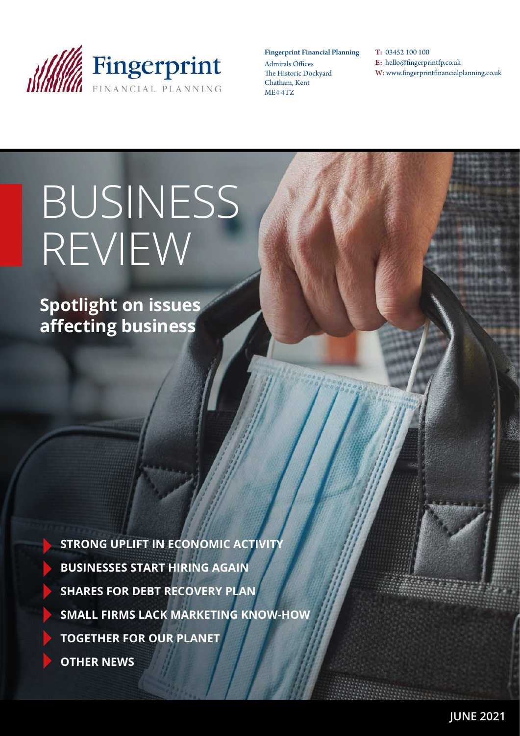

### Fingerprint Financial Planning

Admirals Offices The Historic Dockyard Chatham, Kent ME4 4TZ

T: 03452 100 100 E: hello@fingerprintfp.co.uk W: www.fingerprintfinancialplanning.co.uk

# BUSINESS REVIEW

**Spotlight on issues affecting business**

> **STRONG UPLIFT IN ECONOMIC ACTIVITY BUSINESSES START HIRING AGAIN SHARES FOR DEBT RECOVERY PLAN SMALL FIRMS LACK MARKETING KNOW-HOW TOGETHER FOR OUR PLANET OTHER NEWS**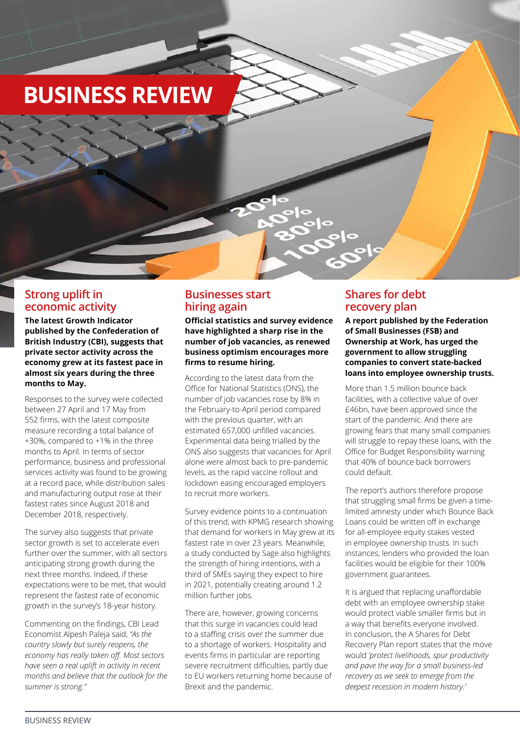# **BUSINESS REVIEW**

### **Strong uplift in economic activity**

**The latest Growth Indicator published by the Confederation of British Industry (CBI), suggests that private sector activity across the economy grew at its fastest pace in almost six years during the three months to May.**

Responses to the survey were collected between 27 April and 17 May from 552 firms, with the latest composite measure recording a total balance of +30%, compared to +1% in the three months to April. In terms of sector performance, business and professional services activity was found to be growing at a record pace, while distribution sales and manufacturing output rose at their fastest rates since August 2018 and December 2018, respectively.

The survey also suggests that private sector growth is set to accelerate even further over the summer, with all sectors anticipating strong growth during the next three months. Indeed, if these expectations were to be met, that would represent the fastest rate of economic growth in the survey's 18-year history.

Commenting on the findings, CBI Lead Economist Alpesh Paleja said, *"As the country slowly but surely reopens, the economy has really taken off. Most sectors have seen a real uplift in activity in recent months and believe that the outlook for the summer is strong."* 

# **Businesses start hiring again**

**Official statistics and survey evidence have highlighted a sharp rise in the number of job vacancies, as renewed business optimism encourages more firms to resume hiring.**

According to the latest data from the Office for National Statistics (ONS), the number of job vacancies rose by 8% in the February-to-April period compared with the previous quarter, with an estimated 657,000 unfilled vacancies. Experimental data being trialled by the ONS also suggests that vacancies for April alone were almost back to pre-pandemic levels, as the rapid vaccine rollout and lockdown easing encouraged employers to recruit more workers.

Survey evidence points to a continuation of this trend, with KPMG research showing that demand for workers in May grew at its fastest rate in over 23 years. Meanwhile, a study conducted by Sage also highlights the strength of hiring intentions, with a third of SMEs saying they expect to hire in 2021, potentially creating around 1.2 million further jobs.

There are, however, growing concerns that this surge in vacancies could lead to a staffing crisis over the summer due to a shortage of workers. Hospitality and events firms in particular are reporting severe recruitment difficulties, partly due to EU workers returning home because of Brexit and the pandemic.

# **Shares for debt recovery plan**

**A report published by the Federation of Small Businesses (FSB) and Ownership at Work, has urged the government to allow struggling companies to convert state-backed loans into employee ownership trusts.**

More than 1.5 million bounce back facilities, with a collective value of over £46bn, have been approved since the start of the pandemic. And there are growing fears that many small companies will struggle to repay these loans, with the Office for Budget Responsibility warning that 40% of bounce back borrowers could default.

The report's authors therefore propose that struggling small firms be given a timelimited amnesty under which Bounce Back Loans could be written off in exchange for all-employee equity stakes vested in employee ownership trusts. In such instances, lenders who provided the loan facilities would be eligible for their 100% government guarantees.

It is argued that replacing unaffordable debt with an employee ownership stake would protect viable smaller firms but in a way that benefits everyone involved. In conclusion, the A Shares for Debt Recovery Plan report states that the move would *'protect livelihoods, spur productivity and pave the way for a small business-led recovery as we seek to emerge from the deepest recession in modern history.'*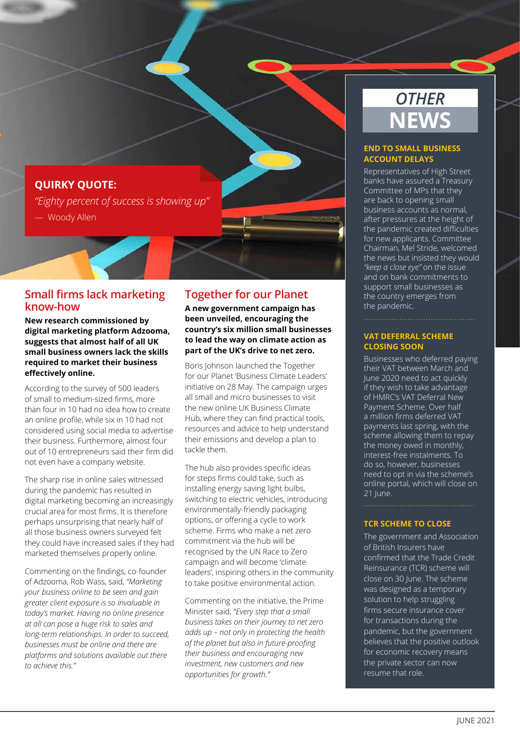# **QUIRKY QUOTE:**

*"Eighty percent of success is showing up"*  — Woody Allen

### **Small firms lack marketing know-how**

**New research commissioned by digital marketing platform Adzooma, suggests that almost half of all UK small business owners lack the skills required to market their business effectively online.** 

According to the survey of 500 leaders of small to medium-sized firms, more than four in 10 had no idea how to create an online profile, while six in 10 had not considered using social media to advertise their business. Furthermore, almost four out of 10 entrepreneurs said their firm did not even have a company website.

The sharp rise in online sales witnessed during the pandemic has resulted in digital marketing becoming an increasingly crucial area for most firms. It is therefore perhaps unsurprising that nearly half of all those business owners surveyed felt they could have increased sales if they had marketed themselves properly online.

Commenting on the findings, co-founder of Adzooma, Rob Wass, said, *"Marketing your business online to be seen and gain greater client exposure is so invaluable in today's market. Having no online presence at all can pose a huge risk to sales and long-term relationships. In order to succeed, businesses must be online and there are platforms and solutions available out there to achieve this."*

### **Together for our Planet**

**A new government campaign has been unveiled, encouraging the country's six million small businesses to lead the way on climate action as part of the UK's drive to net zero.**

Boris Johnson launched the Together for our Planet 'Business Climate Leaders' initiative on 28 May. The campaign urges all small and micro businesses to visit the new online UK Business Climate Hub, where they can find practical tools, resources and advice to help understand their emissions and develop a plan to tackle them.

The hub also provides specific ideas for steps firms could take, such as installing energy saving light bulbs, switching to electric vehicles, introducing environmentally-friendly packaging options, or offering a cycle to work scheme. Firms who make a net zero commitment via the hub will be recognised by the UN Race to Zero campaign and will become 'climate leaders', inspiring others in the community to take positive environmental action.

Commenting on the initiative, the Prime Minister said, *"Every step that a small business takes on their journey to net zero adds up – not only in protecting the health of the planet but also in future-proofing their business and encouraging new investment, new customers and new opportunities for growth."*

# *OTHER* **NEWS**

#### **END TO SMALL BUSINESS ACCOUNT DELAYS**

Representatives of High Street banks have assured a Treasury Committee of MPs that they are back to opening small business accounts as normal, after pressures at the height of the pandemic created difficulties for new applicants. Committee Chairman, Mel Stride, welcomed the news but insisted they would *"keep a close eye"* on the issue and on bank commitments to support small businesses as the country emerges from the pandemic.

#### **VAT DEFERRAL SCHEME CLOSING SOON**

Businesses who deferred paying their VAT between March and June 2020 need to act quickly if they wish to take advantage of HMRC's VAT Deferral New Payment Scheme. Over half a million firms deferred VAT payments last spring, with the scheme allowing them to repay the money owed in monthly, interest-free instalments. To do so, however, businesses need to opt in via the scheme's online portal, which will close on 21 lune.

### **TCR SCHEME TO CLOSE**

The government and Association of British Insurers have confirmed that the Trade Credit Reinsurance (TCR) scheme will close on 30 June. The scheme was designed as a temporary solution to help struggling firms secure insurance cover for transactions during the pandemic, but the government believes that the positive outlook for economic recovery means the private sector can now resume that role.